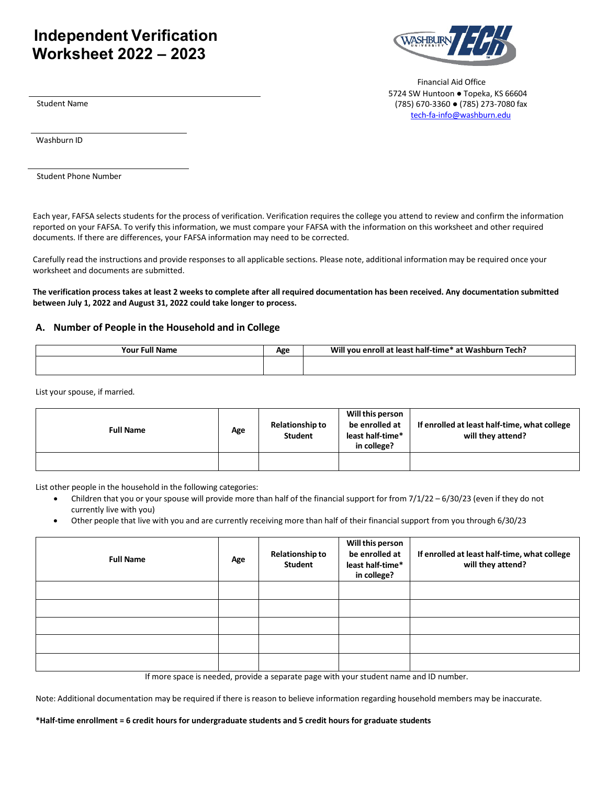## **Independent Verification Worksheet 2022 – 2023**



Financial Aid Office 5724 SW Huntoon ● Topeka, KS 66604 (785) 670-3360 ● (785) 273-7080 fax [tech-fa-info@washburn.edu](mailto:tech-fa-info@washburn.edu)

Student Name

Washburn ID

Student Phone Number

Each year, FAFSA selects students for the process of verification. Verification requires the college you attend to review and confirm the information reported on your FAFSA. To verify this information, we must compare your FAFSA with the information on this worksheet and other required documents. If there are differences, your FAFSA information may need to be corrected.

Carefully read the instructions and provide responses to all applicable sections. Please note, additional information may be required once your worksheet and documents are submitted.

The verification process takes at least 2 weeks to complete after all required documentation has been received. Any documentation submitted **between July 1, 2022 and August 31, 2022 could take longer to process.**

## **A. Number of People in the Household and in College**

| <b>Full Name</b> | Λαο        | Will you enroll at least half-time* at Washburn Tech? |
|------------------|------------|-------------------------------------------------------|
| Your.            | <b>REV</b> |                                                       |
|                  |            |                                                       |

List your spouse, if married.

| <b>Full Name</b> | Age | <b>Relationship to</b><br><b>Student</b> | Will this person<br>be enrolled at<br>least half-time*<br>in college? | If enrolled at least half-time, what college<br>will they attend? |
|------------------|-----|------------------------------------------|-----------------------------------------------------------------------|-------------------------------------------------------------------|
|                  |     |                                          |                                                                       |                                                                   |

List other people in the household in the following categories:

- Children that you or your spouse will provide more than half of the financial support for from 7/1/22 6/30/23 (even if they do not currently live with you)
- Other people that live with you and are currently receiving more than half of their financial support from you through 6/30/23

| <b>Full Name</b> | Age | <b>Relationship to</b><br>Student | Will this person<br>be enrolled at<br>least half-time*<br>in college? | If enrolled at least half-time, what college<br>will they attend? |
|------------------|-----|-----------------------------------|-----------------------------------------------------------------------|-------------------------------------------------------------------|
|                  |     |                                   |                                                                       |                                                                   |
|                  |     |                                   |                                                                       |                                                                   |
|                  |     |                                   |                                                                       |                                                                   |
|                  |     |                                   |                                                                       |                                                                   |
|                  |     |                                   |                                                                       |                                                                   |

If more space is needed, provide a separate page with your student name and ID number.

Note: Additional documentation may be required if there is reason to believe information regarding household members may be inaccurate.

**\*Half-time enrollment = 6 credit hours for undergraduate students and 5 credit hours for graduate students**